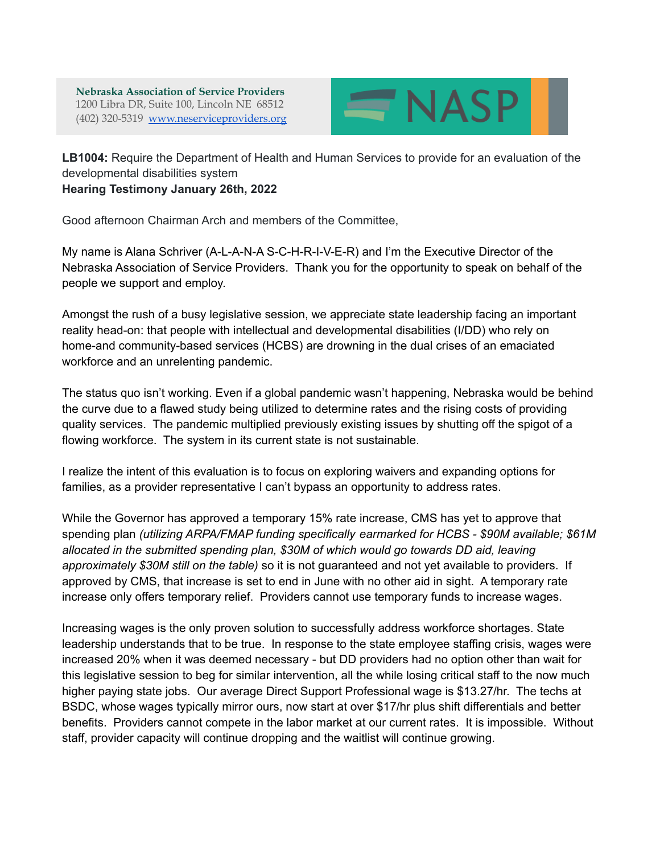**Nebraska Association of Service Providers** 1200 Libra DR, Suite 100, Lincoln NE 68512 (402) 320-5319 [www.neserviceproviders.org](http://www.neserviceproviders.org)



**LB1004:** Require the Department of Health and Human Services to provide for an evaluation of the developmental disabilities system **Hearing Testimony January 26th, 2022**

Good afternoon Chairman Arch and members of the Committee,

My name is Alana Schriver (A-L-A-N-A S-C-H-R-I-V-E-R) and I'm the Executive Director of the Nebraska Association of Service Providers. Thank you for the opportunity to speak on behalf of the people we support and employ.

Amongst the rush of a busy legislative session, we appreciate state leadership facing an important reality head-on: that people with intellectual and developmental disabilities (I/DD) who rely on home-and community-based services (HCBS) are drowning in the dual crises of an emaciated workforce and an unrelenting pandemic.

The status quo isn't working. Even if a global pandemic wasn't happening, Nebraska would be behind the curve due to a flawed study being utilized to determine rates and the rising costs of providing quality services. The pandemic multiplied previously existing issues by shutting off the spigot of a flowing workforce. The system in its current state is not sustainable.

I realize the intent of this evaluation is to focus on exploring waivers and expanding options for families, as a provider representative I can't bypass an opportunity to address rates.

While the Governor has approved a temporary 15% rate increase, CMS has yet to approve that spending plan *(utilizing ARPA/FMAP funding specifically earmarked for HCBS - \$90M available; \$61M allocated in the submitted spending plan, \$30M of which would go towards DD aid, leaving approximately \$30M still on the table)* so it is not guaranteed and not yet available to providers. If approved by CMS, that increase is set to end in June with no other aid in sight. A temporary rate increase only offers temporary relief. Providers cannot use temporary funds to increase wages.

Increasing wages is the only proven solution to successfully address workforce shortages. State leadership understands that to be true. In response to the state employee staffing crisis, wages were increased 20% when it was deemed necessary - but DD providers had no option other than wait for this legislative session to beg for similar intervention, all the while losing critical staff to the now much higher paying state jobs. Our average Direct Support Professional wage is \$13.27/hr. The techs at BSDC, whose wages typically mirror ours, now start at over \$17/hr plus shift differentials and better benefits. Providers cannot compete in the labor market at our current rates. It is impossible. Without staff, provider capacity will continue dropping and the waitlist will continue growing.